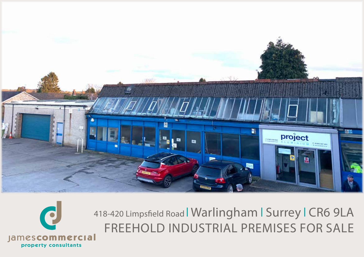



418-420 Limpsfield Road | Warlingham | Surrey | CR6 9LA FREEHOLD INDUSTRIAL PREMISES FOR SALE